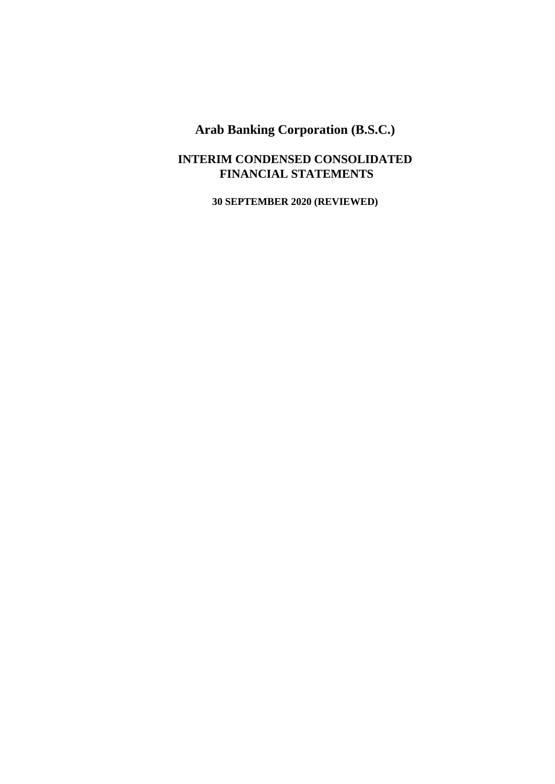# **INTERIM CONDENSED CONSOLIDATED FINANCIAL STATEMENTS**

**30 SEPTEMBER 2020 (REVIEWED)**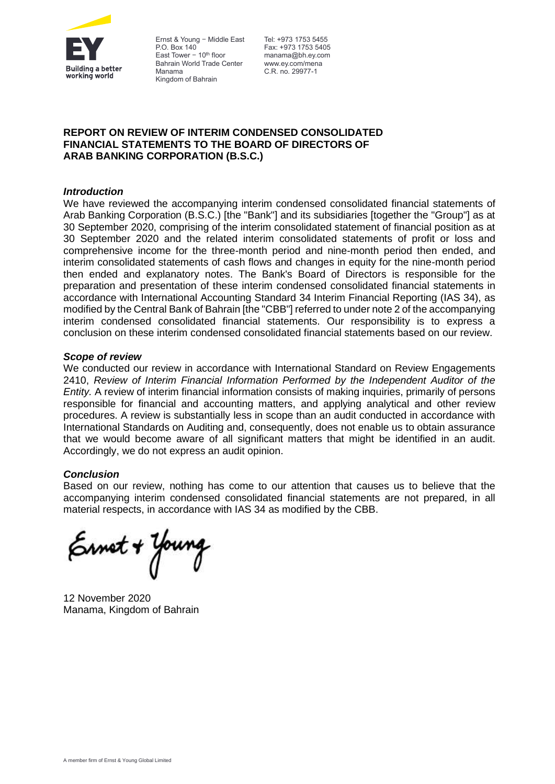

Ernst & Young — Middle East P.O. Box 140 East Tower  $-10^{th}$  floor Bahrain World Trade Center Manama Kingdom of Bahrain

Tel: +973 1753 5455 Fax: +973 1753 5405 manama@bh.ey.com www.ey.com/mena C.R. no. 29977-1

# **REPORT ON REVIEW OF INTERIM CONDENSED CONSOLIDATED FINANCIAL STATEMENTS TO THE BOARD OF DIRECTORS OF ARAB BANKING CORPORATION (B.S.C.)**

### *Introduction*

We have reviewed the accompanying interim condensed consolidated financial statements of Arab Banking Corporation (B.S.C.) [the "Bank"] and its subsidiaries [together the "Group"] as at 30 September 2020, comprising of the interim consolidated statement of financial position as at 30 September 2020 and the related interim consolidated statements of profit or loss and comprehensive income for the three-month period and nine-month period then ended, and interim consolidated statements of cash flows and changes in equity for the nine-month period then ended and explanatory notes. The Bank's Board of Directors is responsible for the preparation and presentation of these interim condensed consolidated financial statements in accordance with International Accounting Standard 34 Interim Financial Reporting (IAS 34), as modified by the Central Bank of Bahrain [the "CBB"] referred to under note 2 of the accompanying interim condensed consolidated financial statements. Our responsibility is to express a conclusion on these interim condensed consolidated financial statements based on our review.

### *Scope of review*

We conducted our review in accordance with International Standard on Review Engagements 2410, *Review of Interim Financial Information Performed by the Independent Auditor of the Entity.* A review of interim financial information consists of making inquiries, primarily of persons responsible for financial and accounting matters, and applying analytical and other review procedures. A review is substantially less in scope than an audit conducted in accordance with International Standards on Auditing and, consequently, does not enable us to obtain assurance that we would become aware of all significant matters that might be identified in an audit. Accordingly, we do not express an audit opinion.

### *Conclusion*

Based on our review, nothing has come to our attention that causes us to believe that the accompanying interim condensed consolidated financial statements are not prepared, in all material respects, in accordance with IAS 34 as modified by the CBB.

Ernet + Young

12 November 2020 Manama, Kingdom of Bahrain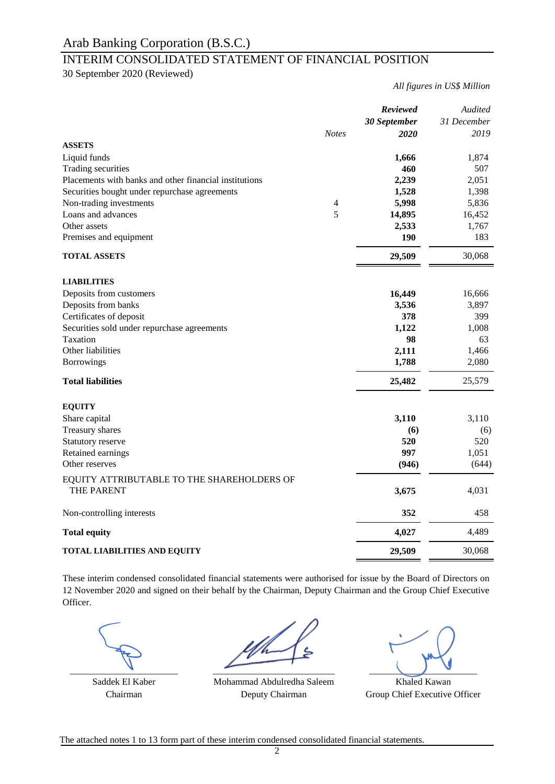# INTERIM CONSOLIDATED STATEMENT OF FINANCIAL POSITION

30 September 2020 (Reviewed)

*All figures in US\$ Million*

|                                                          |                | Reviewed                    | Audited             |
|----------------------------------------------------------|----------------|-----------------------------|---------------------|
|                                                          | <b>Notes</b>   | 30 September<br><b>2020</b> | 31 December<br>2019 |
| <b>ASSETS</b>                                            |                |                             |                     |
| Liquid funds                                             |                | 1,666                       | 1,874               |
| Trading securities                                       |                | 460                         | 507                 |
| Placements with banks and other financial institutions   |                | 2,239                       | 2,051               |
| Securities bought under repurchase agreements            |                | 1,528                       | 1,398               |
| Non-trading investments                                  | $\overline{4}$ | 5,998                       | 5,836               |
| Loans and advances                                       | 5              | 14,895                      | 16,452              |
| Other assets                                             |                | 2,533                       | 1,767               |
| Premises and equipment                                   |                | 190                         | 183                 |
| <b>TOTAL ASSETS</b>                                      |                | 29,509                      | 30,068              |
| <b>LIABILITIES</b>                                       |                |                             |                     |
| Deposits from customers                                  |                | 16,449                      | 16,666              |
| Deposits from banks                                      |                | 3,536                       | 3,897               |
| Certificates of deposit                                  |                | 378                         | 399                 |
| Securities sold under repurchase agreements              |                | 1,122                       | 1,008               |
| Taxation                                                 |                | 98                          | 63                  |
| Other liabilities                                        |                | 2,111                       | 1,466               |
| <b>Borrowings</b>                                        |                | 1,788                       | 2,080               |
| <b>Total liabilities</b>                                 |                | 25,482                      | 25,579              |
| <b>EQUITY</b>                                            |                |                             |                     |
| Share capital                                            |                | 3,110                       | 3,110               |
| Treasury shares                                          |                | (6)                         | (6)                 |
| Statutory reserve                                        |                | 520                         | 520                 |
| Retained earnings                                        |                | 997                         | 1,051               |
| Other reserves                                           |                | (946)                       | (644)               |
| EQUITY ATTRIBUTABLE TO THE SHAREHOLDERS OF<br>THE PARENT |                | 3,675                       | 4,031               |
|                                                          |                |                             |                     |
| Non-controlling interests                                |                | 352                         | 458                 |
| <b>Total equity</b>                                      |                | 4,027                       | 4,489               |
| <b>TOTAL LIABILITIES AND EQUITY</b>                      |                | 29,509                      | 30,068              |

These interim condensed consolidated financial statements were authorised for issue by the Board of Directors on 12 November 2020 and signed on their behalf by the Chairman, Deputy Chairman and the Group Chief Executive Officer.

Saddek El Kaber **Khaled Kawan** Mohammad Abdulredha Saleem **Khaled Kawan** Chairman **Chairman** Deputy Chairman Group Chief Executive Officer Deputy Chairman

 $\frac{1}{2}$  ,  $\frac{1}{2}$  ,  $\frac{1}{2}$  ,  $\frac{1}{2}$  ,  $\frac{1}{2}$  ,  $\frac{1}{2}$  ,  $\frac{1}{2}$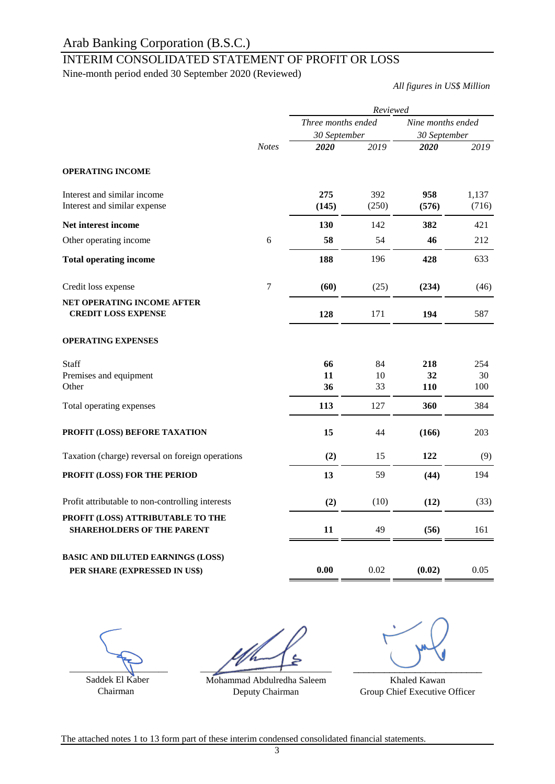# INTERIM CONSOLIDATED STATEMENT OF PROFIT OR LOSS

Nine-month period ended 30 September 2020 (Reviewed)

*All figures in US\$ Million*

|                                                  |                  | Reviewed           |       |                   |       |  |  |
|--------------------------------------------------|------------------|--------------------|-------|-------------------|-------|--|--|
|                                                  |                  | Three months ended |       | Nine months ended |       |  |  |
|                                                  |                  | 30 September       |       | 30 September      |       |  |  |
|                                                  | <b>Notes</b>     | 2020               | 2019  | 2020              | 2019  |  |  |
| <b>OPERATING INCOME</b>                          |                  |                    |       |                   |       |  |  |
| Interest and similar income                      |                  | 275                | 392   | 958               | 1,137 |  |  |
| Interest and similar expense                     |                  | (145)              | (250) | (576)             | (716) |  |  |
| Net interest income                              |                  | 130                | 142   | 382               | 421   |  |  |
| Other operating income                           | 6                | 58                 | 54    | 46                | 212   |  |  |
| <b>Total operating income</b>                    |                  | 188                | 196   | 428               | 633   |  |  |
| Credit loss expense                              | $\boldsymbol{7}$ | (60)               | (25)  | (234)             | (46)  |  |  |
| NET OPERATING INCOME AFTER                       |                  |                    |       |                   |       |  |  |
| <b>CREDIT LOSS EXPENSE</b>                       |                  | 128                | 171   | 194               | 587   |  |  |
| <b>OPERATING EXPENSES</b>                        |                  |                    |       |                   |       |  |  |
| <b>Staff</b>                                     |                  | 66                 | 84    | 218               | 254   |  |  |
| Premises and equipment                           |                  | 11                 | 10    | 32                | 30    |  |  |
| Other                                            |                  | 36                 | 33    | <b>110</b>        | 100   |  |  |
| Total operating expenses                         |                  | 113                | 127   | 360               | 384   |  |  |
| PROFIT (LOSS) BEFORE TAXATION                    |                  | 15                 | 44    | (166)             | 203   |  |  |
| Taxation (charge) reversal on foreign operations |                  | (2)                | 15    | 122               | (9)   |  |  |
| PROFIT (LOSS) FOR THE PERIOD                     |                  | 13                 | 59    | (44)              | 194   |  |  |
| Profit attributable to non-controlling interests |                  | (2)                | (10)  | (12)              | (33)  |  |  |
| PROFIT (LOSS) ATTRIBUTABLE TO THE                |                  |                    |       |                   |       |  |  |
| <b>SHAREHOLDERS OF THE PARENT</b>                |                  | 11                 | 49    | (56)              | 161   |  |  |
| <b>BASIC AND DILUTED EARNINGS (LOSS)</b>         |                  |                    |       |                   |       |  |  |
| PER SHARE (EXPRESSED IN US\$)                    |                  | 0.00               | 0.02  | (0.02)            | 0.05  |  |  |

 $\frac{1}{\sqrt{2\pi}}$ Saddek El Kaber

Chairman

 $\overline{\phantom{a}}$ 

Mohammad Abdulredha Saleem Deputy Chairman

 $\overbrace{\phantom{aaaaa}}^{x}$ 

Khaled Kawan Group Chief Executive Officer

The attached notes 1 to 13 form part of these interim condensed consolidated financial statements.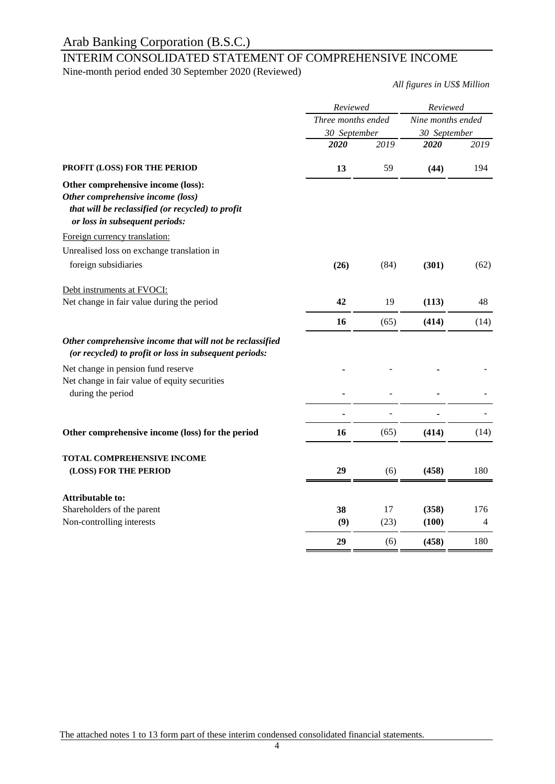# INTERIM CONSOLIDATED STATEMENT OF COMPREHENSIVE INCOME

Nine-month period ended 30 September 2020 (Reviewed)

*All figures in US\$ Million*

|                                                                                                                                                                | Reviewed<br>Three months ended |      | Reviewed<br>Nine months ended |      |  |
|----------------------------------------------------------------------------------------------------------------------------------------------------------------|--------------------------------|------|-------------------------------|------|--|
|                                                                                                                                                                |                                |      |                               |      |  |
|                                                                                                                                                                | 30 September                   |      | 30 September                  |      |  |
|                                                                                                                                                                | 2020                           | 2019 | 2020                          | 2019 |  |
| PROFIT (LOSS) FOR THE PERIOD                                                                                                                                   | 13                             | 59   | (44)                          | 194  |  |
| Other comprehensive income (loss):<br>Other comprehensive income (loss)<br>that will be reclassified (or recycled) to profit<br>or loss in subsequent periods: |                                |      |                               |      |  |
| Foreign currency translation:                                                                                                                                  |                                |      |                               |      |  |
| Unrealised loss on exchange translation in                                                                                                                     |                                |      |                               |      |  |
| foreign subsidiaries                                                                                                                                           | (26)                           | (84) | (301)                         | (62) |  |
| Debt instruments at FVOCI:                                                                                                                                     |                                |      |                               |      |  |
| Net change in fair value during the period                                                                                                                     | 42                             | 19   | (113)                         | 48   |  |
|                                                                                                                                                                | 16                             | (65) | (414)                         | (14) |  |
| Other comprehensive income that will not be reclassified<br>(or recycled) to profit or loss in subsequent periods:                                             |                                |      |                               |      |  |
| Net change in pension fund reserve                                                                                                                             |                                |      |                               |      |  |
| Net change in fair value of equity securities<br>during the period                                                                                             |                                |      |                               |      |  |
|                                                                                                                                                                |                                |      |                               |      |  |
| Other comprehensive income (loss) for the period                                                                                                               | 16                             | (65) | (414)                         | (14) |  |
| TOTAL COMPREHENSIVE INCOME                                                                                                                                     |                                |      |                               |      |  |
| (LOSS) FOR THE PERIOD                                                                                                                                          | 29                             | (6)  | (458)                         | 180  |  |
| <b>Attributable to:</b>                                                                                                                                        |                                |      |                               |      |  |
| Shareholders of the parent                                                                                                                                     | 38                             | 17   | (358)                         | 176  |  |
| Non-controlling interests                                                                                                                                      | (9)                            | (23) | (100)                         | 4    |  |
|                                                                                                                                                                | 29                             | (6)  | (458)                         | 180  |  |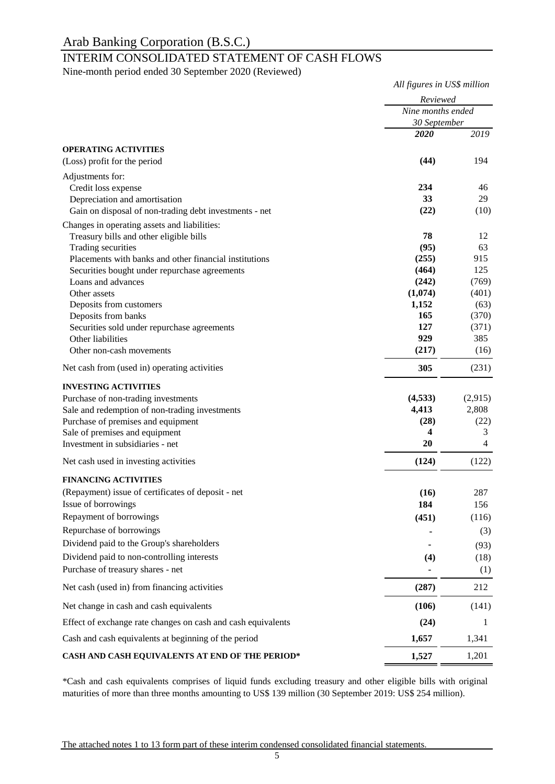# INTERIM CONSOLIDATED STATEMENT OF CASH FLOWS

Nine-month period ended 30 September 2020 (Reviewed)

|                                                              | All figures in US\$ million<br>Reviewed<br>Nine months ended<br>30 September |                |
|--------------------------------------------------------------|------------------------------------------------------------------------------|----------------|
|                                                              |                                                                              |                |
|                                                              |                                                                              |                |
|                                                              | 2020                                                                         | 2019           |
| <b>OPERATING ACTIVITIES</b>                                  |                                                                              |                |
| (Loss) profit for the period                                 | (44)                                                                         | 194            |
| Adjustments for:                                             |                                                                              |                |
| Credit loss expense                                          | 234                                                                          | 46             |
| Depreciation and amortisation                                | 33                                                                           | 29             |
| Gain on disposal of non-trading debt investments - net       | (22)                                                                         | (10)           |
| Changes in operating assets and liabilities:                 |                                                                              |                |
| Treasury bills and other eligible bills                      | 78                                                                           | 12             |
| Trading securities                                           | (95)                                                                         | 63             |
| Placements with banks and other financial institutions       | (255)                                                                        | 915            |
| Securities bought under repurchase agreements                | (464)                                                                        | 125            |
| Loans and advances                                           | (242)                                                                        | (769)          |
| Other assets                                                 | (1,074)                                                                      | (401)          |
| Deposits from customers                                      | 1,152                                                                        | (63)           |
| Deposits from banks                                          | 165                                                                          | (370)          |
| Securities sold under repurchase agreements                  | 127                                                                          | (371)          |
| Other liabilities                                            | 929                                                                          | 385            |
| Other non-cash movements                                     | (217)                                                                        | (16)           |
| Net cash from (used in) operating activities                 | 305                                                                          | (231)          |
| <b>INVESTING ACTIVITIES</b>                                  |                                                                              |                |
| Purchase of non-trading investments                          | (4,533)                                                                      | (2,915)        |
| Sale and redemption of non-trading investments               | 4,413                                                                        | 2,808          |
| Purchase of premises and equipment                           | (28)                                                                         | (22)           |
| Sale of premises and equipment                               | 4                                                                            | 3              |
| Investment in subsidiaries - net                             | 20                                                                           | $\overline{4}$ |
| Net cash used in investing activities                        | (124)                                                                        | (122)          |
| <b>FINANCING ACTIVITIES</b>                                  |                                                                              |                |
| (Repayment) issue of certificates of deposit - net           | (16)                                                                         | 287            |
| Issue of borrowings                                          | 184                                                                          | 156            |
| Repayment of borrowings                                      | (451)                                                                        | (116)          |
| Repurchase of borrowings                                     |                                                                              | (3)            |
|                                                              |                                                                              |                |
| Dividend paid to the Group's shareholders                    |                                                                              | (93)           |
| Dividend paid to non-controlling interests                   | (4)                                                                          | (18)           |
| Purchase of treasury shares - net                            |                                                                              | (1)            |
| Net cash (used in) from financing activities                 | (287)                                                                        | 212            |
| Net change in cash and cash equivalents                      | (106)                                                                        | (141)          |
| Effect of exchange rate changes on cash and cash equivalents | (24)                                                                         | 1              |
| Cash and cash equivalents at beginning of the period         | 1,657                                                                        | 1,341          |
| CASH AND CASH EQUIVALENTS AT END OF THE PERIOD*              | 1,527                                                                        | 1,201          |

\*Cash and cash equivalents comprises of liquid funds excluding treasury and other eligible bills with original maturities of more than three months amounting to US\$ 139 million (30 September 2019: US\$ 254 million).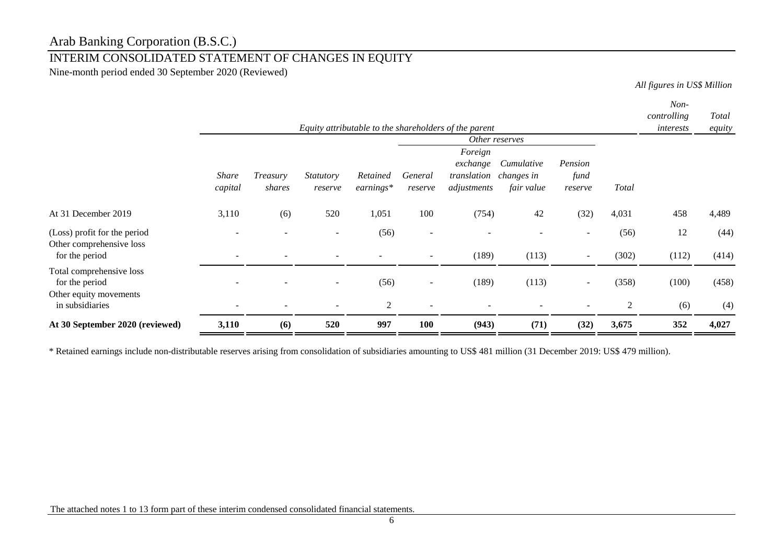# INTERIM CONSOLIDATED STATEMENT OF CHANGES IN EQUITY

Nine-month period ended 30 September 2020 (Reviewed)

*All figures in US\$ Million*

|                                                          |                          |          |                  |             |                          |                                                       |                |                          |              | Non-        |        |
|----------------------------------------------------------|--------------------------|----------|------------------|-------------|--------------------------|-------------------------------------------------------|----------------|--------------------------|--------------|-------------|--------|
|                                                          |                          |          |                  |             |                          |                                                       |                |                          |              | controlling | Total  |
|                                                          |                          |          |                  |             |                          | Equity attributable to the shareholders of the parent |                |                          |              | interests   | equity |
|                                                          |                          |          |                  |             |                          |                                                       | Other reserves |                          |              |             |        |
|                                                          |                          |          |                  |             |                          | Foreign                                               |                |                          |              |             |        |
|                                                          |                          |          |                  |             |                          | exchange                                              | Cumulative     | Pension                  |              |             |        |
|                                                          | <b>Share</b>             | Treasury | <b>Statutory</b> | Retained    | General                  | translation                                           | changes in     | fund                     |              |             |        |
|                                                          | capital                  | shares   | reserve          | $earnings*$ | reserve                  | adjustments                                           | fair value     | reserve                  | <b>Total</b> |             |        |
| At 31 December 2019                                      | 3,110                    | (6)      | 520              | 1,051       | 100                      | (754)                                                 | 42             | (32)                     | 4,031        | 458         | 4,489  |
| (Loss) profit for the period<br>Other comprehensive loss | $\overline{\phantom{a}}$ |          | $\blacksquare$   | (56)        | $\overline{\phantom{a}}$ |                                                       |                |                          | (56)         | 12          | (44)   |
| for the period                                           |                          |          |                  |             |                          | (189)                                                 | (113)          | $\overline{\phantom{0}}$ | (302)        | (112)       | (414)  |
| Total comprehensive loss                                 |                          |          |                  |             |                          |                                                       |                |                          |              |             |        |
| for the period                                           |                          |          |                  | (56)        | $\overline{\phantom{a}}$ | (189)                                                 | (113)          | $\overline{\phantom{a}}$ | (358)        | (100)       | (458)  |
| Other equity movements<br>in subsidiaries                |                          |          |                  | 2           |                          |                                                       |                |                          | 2            | (6)         | (4)    |
| At 30 September 2020 (reviewed)                          | 3,110                    | (6)      | 520              | 997         | 100                      | (943)                                                 | (71)           | (32)                     | 3,675        | 352         | 4,027  |

\* Retained earnings include non-distributable reserves arising from consolidation of subsidiaries amounting to US\$ 481 million (31 December 2019: US\$ 479 million).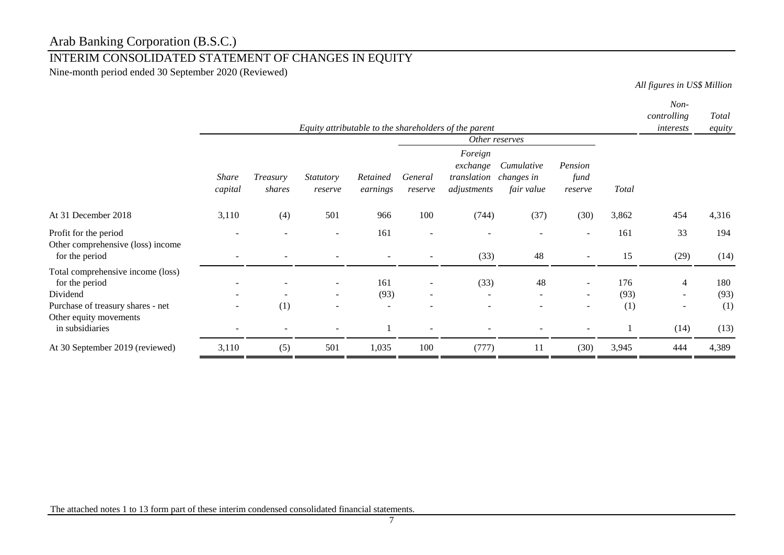# INTERIM CONSOLIDATED STATEMENT OF CHANGES IN EQUITY

Nine-month period ended 30 September 2020 (Reviewed)

*All figures in US\$ Million*

|                                                                                                                                | Equity attributable to the shareholders of the parent |                    |                      |                                         |                    |                                                   |                                        |                            | Non-<br>controlling<br>interests | Total<br>equity                                      |                    |
|--------------------------------------------------------------------------------------------------------------------------------|-------------------------------------------------------|--------------------|----------------------|-----------------------------------------|--------------------|---------------------------------------------------|----------------------------------------|----------------------------|----------------------------------|------------------------------------------------------|--------------------|
|                                                                                                                                |                                                       |                    |                      |                                         |                    |                                                   | Other reserves                         |                            |                                  |                                                      |                    |
|                                                                                                                                | <b>Share</b><br>capital                               | Treasury<br>shares | Statutory<br>reserve | Retained<br>earnings                    | General<br>reserve | Foreign<br>exchange<br>translation<br>adjustments | Cumulative<br>changes in<br>fair value | Pension<br>fund<br>reserve | <b>Total</b>                     |                                                      |                    |
| At 31 December 2018                                                                                                            | 3,110                                                 | (4)                | 501                  | 966                                     | 100                | (744)                                             | (37)                                   | (30)                       | 3,862                            | 454                                                  | 4,316              |
| Profit for the period<br>Other comprehensive (loss) income<br>for the period                                                   |                                                       |                    |                      | 161                                     |                    | (33)                                              | 48                                     |                            | 161<br>15                        | 33<br>(29)                                           | 194<br>(14)        |
| Total comprehensive income (loss)<br>for the period<br>Dividend<br>Purchase of treasury shares - net<br>Other equity movements |                                                       | (1)                | $\sim$               | 161<br>(93)<br>$\overline{\phantom{0}}$ |                    | (33)<br>$\overline{\phantom{a}}$                  | 48<br>$\overline{\phantom{a}}$         | $\sim$                     | 176<br>(93)<br>(1)               | $\overline{4}$<br>$\sim$<br>$\overline{\phantom{a}}$ | 180<br>(93)<br>(1) |
| in subsidiaries                                                                                                                |                                                       |                    |                      |                                         |                    |                                                   |                                        |                            |                                  | (14)                                                 | (13)               |
| At 30 September 2019 (reviewed)                                                                                                | 3,110                                                 | (5)                | 501                  | 1,035                                   | 100                | (777)                                             | 11                                     | (30)                       | 3,945                            | 444                                                  | 4,389              |

The attached notes 1 to 13 form part of these interim condensed consolidated financial statements.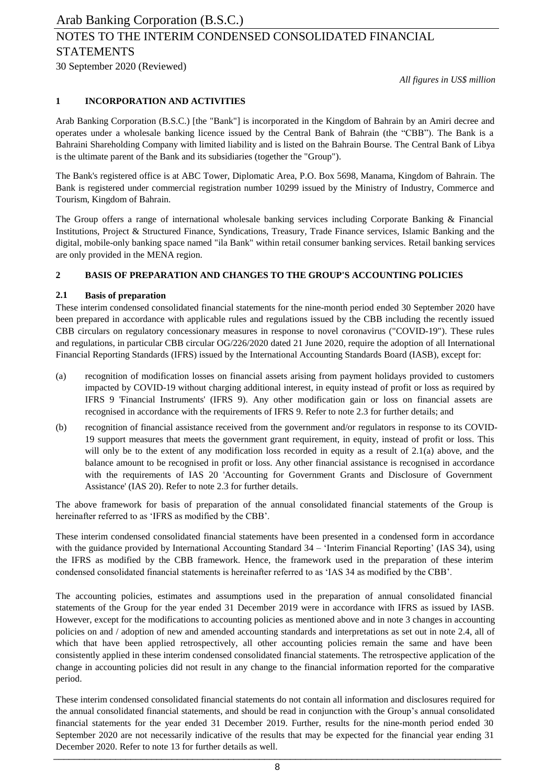30 September 2020 (Reviewed)

*All figures in US\$ million*

#### **1 INCORPORATION AND ACTIVITIES**

Arab Banking Corporation (B.S.C.) [the "Bank"] is incorporated in the Kingdom of Bahrain by an Amiri decree and operates under a wholesale banking licence issued by the Central Bank of Bahrain (the "CBB"). The Bank is a Bahraini Shareholding Company with limited liability and is listed on the Bahrain Bourse. The Central Bank of Libya is the ultimate parent of the Bank and its subsidiaries (together the "Group").

The Bank's registered office is at ABC Tower, Diplomatic Area, P.O. Box 5698, Manama, Kingdom of Bahrain. The Bank is registered under commercial registration number 10299 issued by the Ministry of Industry, Commerce and Tourism, Kingdom of Bahrain.

The Group offers a range of international wholesale banking services including Corporate Banking & Financial Institutions, Project & Structured Finance, Syndications, Treasury, Trade Finance services, Islamic Banking and the digital, mobile-only banking space named "ila Bank" within retail consumer banking services. Retail banking services are only provided in the MENA region.

### **2 BASIS OF PREPARATION AND CHANGES TO THE GROUP'S ACCOUNTING POLICIES**

#### **2.1 Basis of preparation**

These interim condensed consolidated financial statements for the nine-month period ended 30 September 2020 have been prepared in accordance with applicable rules and regulations issued by the CBB including the recently issued CBB circulars on regulatory concessionary measures in response to novel coronavirus ("COVID-19"). These rules and regulations, in particular CBB circular OG/226/2020 dated 21 June 2020, require the adoption of all International Financial Reporting Standards (IFRS) issued by the International Accounting Standards Board (IASB), except for:

- (a) recognition of modification losses on financial assets arising from payment holidays provided to customers impacted by COVID-19 without charging additional interest, in equity instead of profit or loss as required by IFRS 9 'Financial Instruments' (IFRS 9). Any other modification gain or loss on financial assets are recognised in accordance with the requirements of IFRS 9. Refer to note 2.3 for further details; and
- (b) recognition of financial assistance received from the government and/or regulators in response to its COVID-19 support measures that meets the government grant requirement, in equity, instead of profit or loss. This will only be to the extent of any modification loss recorded in equity as a result of 2.1(a) above, and the balance amount to be recognised in profit or loss. Any other financial assistance is recognised in accordance with the requirements of IAS 20 'Accounting for Government Grants and Disclosure of Government Assistance' (IAS 20). Refer to note 2.3 for further details.

The above framework for basis of preparation of the annual consolidated financial statements of the Group is hereinafter referred to as 'IFRS as modified by the CBB'.

These interim condensed consolidated financial statements have been presented in a condensed form in accordance with the guidance provided by International Accounting Standard 34 – 'Interim Financial Reporting' (IAS 34), using the IFRS as modified by the CBB framework. Hence, the framework used in the preparation of these interim condensed consolidated financial statements is hereinafter referred to as 'IAS 34 as modified by the CBB'.

The accounting policies, estimates and assumptions used in the preparation of annual consolidated financial statements of the Group for the year ended 31 December 2019 were in accordance with IFRS as issued by IASB. However, except for the modifications to accounting policies as mentioned above and in note 3 changes in accounting policies on and / adoption of new and amended accounting standards and interpretations as set out in note 2.4, all of which that have been applied retrospectively, all other accounting policies remain the same and have been consistently applied in these interim condensed consolidated financial statements. The retrospective application of the change in accounting policies did not result in any change to the financial information reported for the comparative period.

These interim condensed consolidated financial statements do not contain all information and disclosures required for the annual consolidated financial statements, and should be read in conjunction with the Group's annual consolidated financial statements for the year ended 31 December 2019. Further, results for the nine-month period ended 30 September 2020 are not necessarily indicative of the results that may be expected for the financial year ending 31 December 2020. Refer to note 13 for further details as well. \_\_\_\_\_\_\_\_\_\_\_\_\_\_\_\_\_\_\_\_\_\_\_\_\_\_\_\_\_\_\_\_\_\_\_\_\_\_\_\_\_\_\_\_\_\_\_\_\_\_\_\_\_\_\_\_\_\_\_\_\_\_\_\_\_\_\_\_\_\_\_\_\_\_\_\_\_\_\_\_\_\_\_\_\_\_\_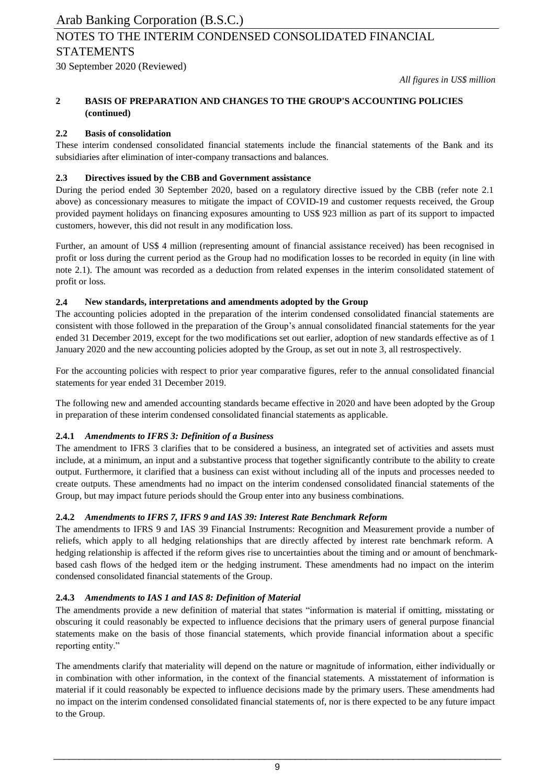30 September 2020 (Reviewed)

*All figures in US\$ million*

#### **2 BASIS OF PREPARATION AND CHANGES TO THE GROUP'S ACCOUNTING POLICIES (continued)**

### **2.2 Basis of consolidation**

These interim condensed consolidated financial statements include the financial statements of the Bank and its subsidiaries after elimination of inter-company transactions and balances.

### **2.3 Directives issued by the CBB and Government assistance**

During the period ended 30 September 2020, based on a regulatory directive issued by the CBB (refer note 2.1 above) as concessionary measures to mitigate the impact of COVID-19 and customer requests received, the Group provided payment holidays on financing exposures amounting to US\$ 923 million as part of its support to impacted customers, however, this did not result in any modification loss.

Further, an amount of US\$ 4 million (representing amount of financial assistance received) has been recognised in profit or loss during the current period as the Group had no modification losses to be recorded in equity (in line with note 2.1). The amount was recorded as a deduction from related expenses in the interim consolidated statement of profit or loss.

### **2.4 New standards, interpretations and amendments adopted by the Group**

The accounting policies adopted in the preparation of the interim condensed consolidated financial statements are consistent with those followed in the preparation of the Group's annual consolidated financial statements for the year ended 31 December 2019, except for the two modifications set out earlier, adoption of new standards effective as of 1 January 2020 and the new accounting policies adopted by the Group, as set out in note 3, all restrospectively.

For the accounting policies with respect to prior year comparative figures, refer to the annual consolidated financial statements for year ended 31 December 2019.

The following new and amended accounting standards became effective in 2020 and have been adopted by the Group in preparation of these interim condensed consolidated financial statements as applicable.

## **2.4.1** *Amendments to IFRS 3: Definition of a Business*

The amendment to IFRS 3 clarifies that to be considered a business, an integrated set of activities and assets must include, at a minimum, an input and a substantive process that together significantly contribute to the ability to create output. Furthermore, it clarified that a business can exist without including all of the inputs and processes needed to create outputs. These amendments had no impact on the interim condensed consolidated financial statements of the Group, but may impact future periods should the Group enter into any business combinations.

## **2.4.2** *Amendments to IFRS 7, IFRS 9 and IAS 39: Interest Rate Benchmark Reform*

The amendments to IFRS 9 and IAS 39 Financial Instruments: Recognition and Measurement provide a number of reliefs, which apply to all hedging relationships that are directly affected by interest rate benchmark reform. A hedging relationship is affected if the reform gives rise to uncertainties about the timing and or amount of benchmarkbased cash flows of the hedged item or the hedging instrument. These amendments had no impact on the interim condensed consolidated financial statements of the Group.

### **2.4.3** *Amendments to IAS 1 and IAS 8: Definition of Material*

The amendments provide a new definition of material that states "information is material if omitting, misstating or obscuring it could reasonably be expected to influence decisions that the primary users of general purpose financial statements make on the basis of those financial statements, which provide financial information about a specific reporting entity."

The amendments clarify that materiality will depend on the nature or magnitude of information, either individually or in combination with other information, in the context of the financial statements. A misstatement of information is material if it could reasonably be expected to influence decisions made by the primary users. These amendments had no impact on the interim condensed consolidated financial statements of, nor is there expected to be any future impact to the Group.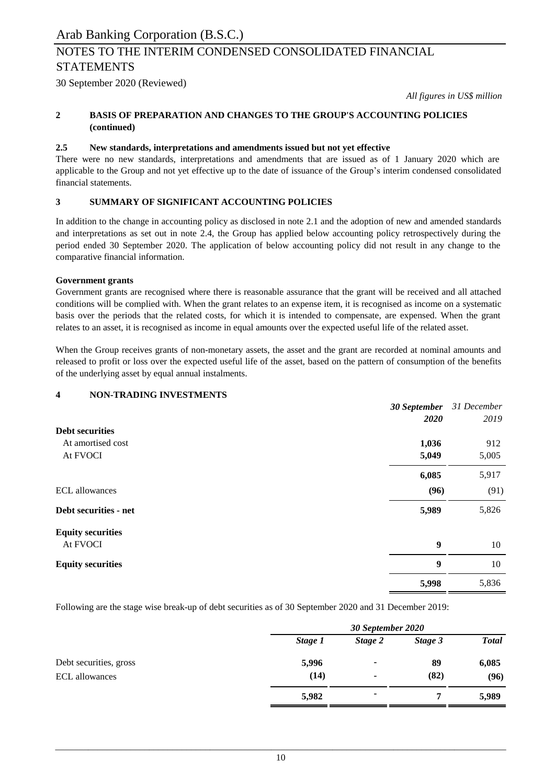30 September 2020 (Reviewed)

*All figures in US\$ million*

#### **2 BASIS OF PREPARATION AND CHANGES TO THE GROUP'S ACCOUNTING POLICIES (continued)**

### **2.5 New standards, interpretations and amendments issued but not yet effective**

There were no new standards, interpretations and amendments that are issued as of 1 January 2020 which are applicable to the Group and not yet effective up to the date of issuance of the Group's interim condensed consolidated financial statements.

## **3 SUMMARY OF SIGNIFICANT ACCOUNTING POLICIES**

In addition to the change in accounting policy as disclosed in note 2.1 and the adoption of new and amended standards and interpretations as set out in note 2.4, the Group has applied below accounting policy retrospectively during the period ended 30 September 2020. The application of below accounting policy did not result in any change to the comparative financial information.

#### **Government grants**

Government grants are recognised where there is reasonable assurance that the grant will be received and all attached conditions will be complied with. When the grant relates to an expense item, it is recognised as income on a systematic basis over the periods that the related costs, for which it is intended to compensate, are expensed. When the grant relates to an asset, it is recognised as income in equal amounts over the expected useful life of the related asset.

When the Group receives grants of non-monetary assets, the asset and the grant are recorded at nominal amounts and released to profit or loss over the expected useful life of the asset, based on the pattern of consumption of the benefits of the underlying asset by equal annual instalments.

### **4 NON-TRADING INVESTMENTS**

|                          | 30 September     | 31 December |
|--------------------------|------------------|-------------|
|                          | <b>2020</b>      | 2019        |
| <b>Debt securities</b>   |                  |             |
| At amortised cost        | 1,036            | 912         |
| At FVOCI                 | 5,049            | 5,005       |
|                          | 6,085            | 5,917       |
| <b>ECL</b> allowances    | (96)             | (91)        |
| Debt securities - net    | 5,989            | 5,826       |
| <b>Equity securities</b> |                  |             |
| At FVOCI                 | $\boldsymbol{9}$ | 10          |
| <b>Equity securities</b> | 9                | 10          |
|                          | 5,998            | 5,836       |

Following are the stage wise break-up of debt securities as of 30 September 2020 and 31 December 2019:

|                        |         | 30 September 2020        |         |              |  |  |
|------------------------|---------|--------------------------|---------|--------------|--|--|
|                        | Stage 1 | Stage 2                  | Stage 3 | <b>Total</b> |  |  |
| Debt securities, gross | 5,996   | $\overline{\phantom{a}}$ | 89      | 6,085        |  |  |
| ECL allowances         | (14)    |                          | (82)    | (96)         |  |  |
|                        | 5,982   |                          | 7       | 5,989        |  |  |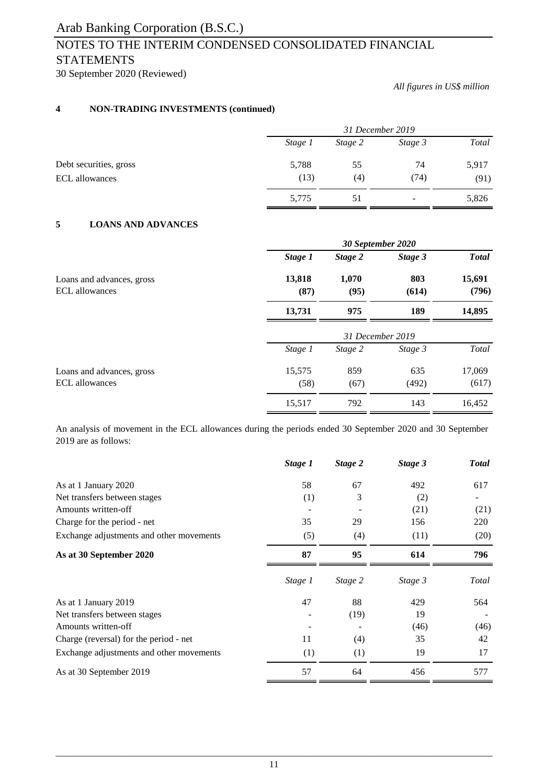# NOTES TO THE INTERIM CONDENSED CONSOLIDATED FINANCIAL **STATEMENTS**

30 September 2020 (Reviewed)

*All figures in US\$ million*

## **4 NON-TRADING INVESTMENTS (continued)**

|                        |         | 31 December 2019 |         |              |  |
|------------------------|---------|------------------|---------|--------------|--|
|                        | Stage 1 | Stage 2          | Stage 3 | <b>Total</b> |  |
| Debt securities, gross | 5,788   | 55               | 74      | 5,917        |  |
| ECL allowances         | (13)    | (4)              | (74)    | (91)         |  |
|                        | 5,775   | 51               | -       | 5,826        |  |

### **5 LOANS AND ADVANCES**

|                                                    | 30 September 2020 |                  |              |                 |  |  |
|----------------------------------------------------|-------------------|------------------|--------------|-----------------|--|--|
|                                                    | Stage 1           | Stage 2          | Stage 3      | <b>Total</b>    |  |  |
| Loans and advances, gross<br><b>ECL</b> allowances | 13,818<br>(87)    | 1,070<br>(95)    | 803<br>(614) | 15,691<br>(796) |  |  |
|                                                    | 13,731            | 975              | 189          | 14,895          |  |  |
|                                                    |                   | 31 December 2019 |              |                 |  |  |
|                                                    | Stage 1           | Stage 2          | Stage 3      | Total           |  |  |
| Loans and advances, gross                          | 15,575            | 859              | 635          | 17,069          |  |  |
| <b>ECL</b> allowances                              | (58)              | (67)             | (492)        | (617)           |  |  |
|                                                    | 15,517            | 792              | 143          | 16,452          |  |  |

An analysis of movement in the ECL allowances during the periods ended 30 September 2020 and 30 September 2019 are as follows:

|                                          | Stage 1 | Stage 2 | Stage 3 | <b>Total</b> |
|------------------------------------------|---------|---------|---------|--------------|
| As at 1 January 2020                     | 58      | 67      | 492     | 617          |
| Net transfers between stages             | (1)     | 3       | (2)     |              |
| Amounts written-off                      |         |         | (21)    | (21)         |
| Charge for the period - net              | 35      | 29      | 156     | 220          |
| Exchange adjustments and other movements | (5)     | (4)     | (11)    | (20)         |
| As at 30 September 2020                  | 87      | 95      | 614     | 796          |
|                                          | Stage 1 | Stage 2 | Stage 3 | Total        |
| As at 1 January 2019                     | 47      | 88      | 429     | 564          |
| Net transfers between stages             |         | (19)    | 19      |              |
| Amounts written-off                      |         |         | (46)    | (46)         |
| Charge (reversal) for the period - net   | 11      | (4)     | 35      | 42           |
| Exchange adjustments and other movements | (1)     | (1)     | 19      | 17           |
| As at 30 September 2019                  | 57      | 64      | 456     | 577          |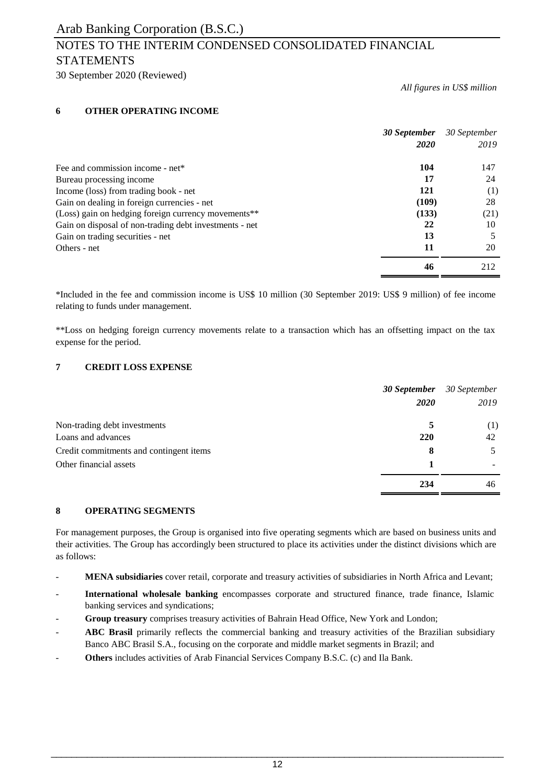30 September 2020 (Reviewed)

*All figures in US\$ million*

### **6 OTHER OPERATING INCOME**

|                                                        | 30 September | 30 September |
|--------------------------------------------------------|--------------|--------------|
|                                                        | 2020         | 2019         |
| Fee and commission income - net*                       | 104          | 147          |
| Bureau processing income                               | 17           | 24           |
| Income (loss) from trading book - net                  | 121          | (1)          |
| Gain on dealing in foreign currencies - net            | (109)        | 28           |
| (Loss) gain on hedging foreign currency movements**    | (133)        | (21)         |
| Gain on disposal of non-trading debt investments - net | 22           | 10           |
| Gain on trading securities - net                       | 13           | 5            |
| Others - net                                           | 11           | 20           |
|                                                        | 46           | 212          |

\*Included in the fee and commission income is US\$ 10 million (30 September 2019: US\$ 9 million) of fee income relating to funds under management.

\*\*Loss on hedging foreign currency movements relate to a transaction which has an offsetting impact on the tax expense for the period.

### **7 CREDIT LOSS EXPENSE**

|                                         |      | <b>30 September</b> 30 September |
|-----------------------------------------|------|----------------------------------|
|                                         | 2020 | 2019                             |
| Non-trading debt investments            |      | (1)                              |
| Loans and advances                      | 220  | 42                               |
| Credit commitments and contingent items | 8    |                                  |
| Other financial assets                  |      |                                  |
|                                         | 234  | 46                               |

#### **8 OPERATING SEGMENTS**

For management purposes, the Group is organised into five operating segments which are based on business units and their activities. The Group has accordingly been structured to place its activities under the distinct divisions which are as follows:

- **MENA subsidiaries** cover retail, corporate and treasury activities of subsidiaries in North Africa and Levant;
- **International wholesale banking** encompasses corporate and structured finance, trade finance, Islamic banking services and syndications;
- **Group treasury** comprises treasury activities of Bahrain Head Office, New York and London;
- **ABC Brasil** primarily reflects the commercial banking and treasury activities of the Brazilian subsidiary Banco ABC Brasil S.A., focusing on the corporate and middle market segments in Brazil; and
- **Others** includes activities of Arab Financial Services Company B.S.C. (c) and Ila Bank.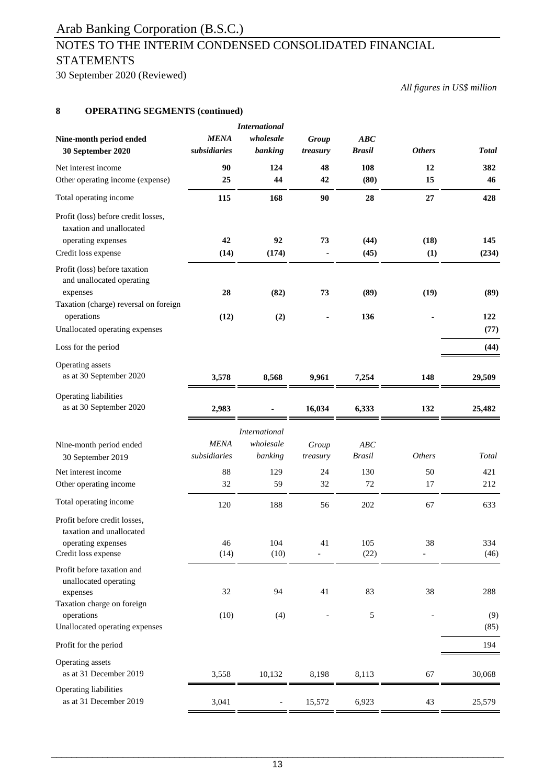# NOTES TO THE INTERIM CONDENSED CONSOLIDATED FINANCIAL **STATEMENTS**

30 September 2020 (Reviewed)

*All figures in US\$ million*

### **8 OPERATING SEGMENTS (continued)**

| Nine-month period ended<br>30 September 2020                                                                                                                    | <b>MENA</b><br>subsidiaries | <b>International</b><br>wholesale<br>banking | Group<br>treasury | ABC<br><b>Brasil</b> | <b>Others</b>        | <b>Total</b>        |
|-----------------------------------------------------------------------------------------------------------------------------------------------------------------|-----------------------------|----------------------------------------------|-------------------|----------------------|----------------------|---------------------|
| Net interest income                                                                                                                                             | 90                          | 124                                          | 48                | 108                  | 12                   | 382                 |
| Other operating income (expense)                                                                                                                                | 25                          | 44                                           | 42                | (80)                 | 15                   | 46                  |
| Total operating income                                                                                                                                          | 115                         | 168                                          | 90                | 28                   | 27                   | 428                 |
| Profit (loss) before credit losses,<br>taxation and unallocated<br>operating expenses                                                                           | 42                          | 92                                           | 73                | (44)                 | (18)                 | 145                 |
| Credit loss expense                                                                                                                                             | (14)                        | (174)                                        |                   | (45)                 | (1)                  | (234)               |
| Profit (loss) before taxation<br>and unallocated operating<br>expenses<br>Taxation (charge) reversal on foreign<br>operations<br>Unallocated operating expenses | 28<br>(12)                  | (82)<br>(2)                                  | 73                | (89)<br>136          | (19)                 | (89)<br>122<br>(77) |
| Loss for the period                                                                                                                                             |                             |                                              |                   |                      |                      | (44)                |
| Operating assets                                                                                                                                                |                             |                                              |                   |                      |                      |                     |
| as at 30 September 2020                                                                                                                                         | 3,578                       | 8,568                                        | 9,961             | 7,254                | 148                  | 29,509              |
| Operating liabilities<br>as at 30 September 2020                                                                                                                | 2,983                       |                                              | 16,034            | 6,333                | 132                  | 25,482              |
|                                                                                                                                                                 |                             | <b>International</b>                         |                   |                      |                      |                     |
| Nine-month period ended<br>30 September 2019                                                                                                                    | <b>MENA</b><br>subsidiaries | wholesale<br>banking                         | Group<br>treasury | ABC<br><b>Brasil</b> | <b>Others</b>        | Total               |
| Net interest income                                                                                                                                             | 88                          | 129                                          | 24                | 130                  | 50                   | 421                 |
| Other operating income                                                                                                                                          | 32                          | 59                                           | 32                | 72                   | 17                   | 212                 |
| Total operating income                                                                                                                                          | 120                         | 188                                          | 56                | 202                  | 67                   | 633                 |
| Profit before credit losses,<br>taxation and unallocated                                                                                                        |                             |                                              |                   |                      |                      |                     |
| operating expenses<br>Credit loss expense                                                                                                                       | 46<br>(14)                  | 104<br>(10)                                  | 41                | 105<br>(22)          | 38<br>$\overline{a}$ | 334<br>(46)         |
| Profit before taxation and<br>unallocated operating<br>expenses<br>Taxation charge on foreign                                                                   | 32                          | 94                                           | 41                | 83                   | 38                   | 288                 |
| operations<br>Unallocated operating expenses                                                                                                                    | (10)                        | (4)                                          |                   | 5                    |                      | (9)<br>(85)         |
| Profit for the period                                                                                                                                           |                             |                                              |                   |                      |                      | 194                 |
| Operating assets<br>as at 31 December 2019                                                                                                                      | 3,558                       | 10,132                                       | 8,198             | 8,113                | 67                   | 30,068              |
| Operating liabilities<br>as at 31 December 2019                                                                                                                 | 3,041                       | $\overline{\phantom{0}}$                     | 15,572            | 6,923                | 43                   | 25,579              |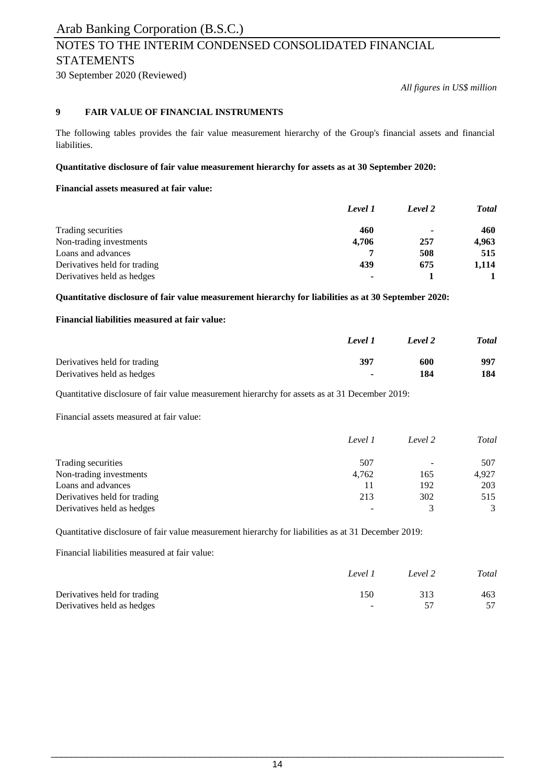30 September 2020 (Reviewed)

*All figures in US\$ million*

### **9 FAIR VALUE OF FINANCIAL INSTRUMENTS**

The following tables provides the fair value measurement hierarchy of the Group's financial assets and financial liabilities.

#### **Quantitative disclosure of fair value measurement hierarchy for assets as at 30 September 2020:**

#### **Financial assets measured at fair value:**

|                              | Level 1        | Level 2                  | <b>T</b> otal |
|------------------------------|----------------|--------------------------|---------------|
| Trading securities           | 460            | $\overline{\phantom{a}}$ | 460           |
| Non-trading investments      | 4,706          | 257                      | 4,963         |
| Loans and advances           |                | 508                      | 515           |
| Derivatives held for trading | 439            | 675                      | 1,114         |
| Derivatives held as hedges   | $\blacksquare$ |                          |               |

**Quantitative disclosure of fair value measurement hierarchy for liabilities as at 30 September 2020:**

### **Financial liabilities measured at fair value:**

|                              | Level 1                  | Level 2 | <b>Total</b> |
|------------------------------|--------------------------|---------|--------------|
| Derivatives held for trading | 397                      | 600     | 997          |
| Derivatives held as hedges   | $\overline{\phantom{0}}$ | 184     | 184          |

Quantitative disclosure of fair value measurement hierarchy for assets as at 31 December 2019:

Financial assets measured at fair value:

|                              | Level 1 | Level 2 | Total |
|------------------------------|---------|---------|-------|
| Trading securities           | 507     |         | 507   |
| Non-trading investments      | 4,762   | 165     | 4.927 |
| Loans and advances           |         | 192     | 203   |
| Derivatives held for trading | 213     | 302     | 515   |
| Derivatives held as hedges   |         |         |       |

Quantitative disclosure of fair value measurement hierarchy for liabilities as at 31 December 2019:

Financial liabilities measured at fair value:

|                              | Level 1        | Level 2 | Total |
|------------------------------|----------------|---------|-------|
| Derivatives held for trading | 150            | 313     | 463   |
| Derivatives held as hedges   | $\overline{a}$ |         |       |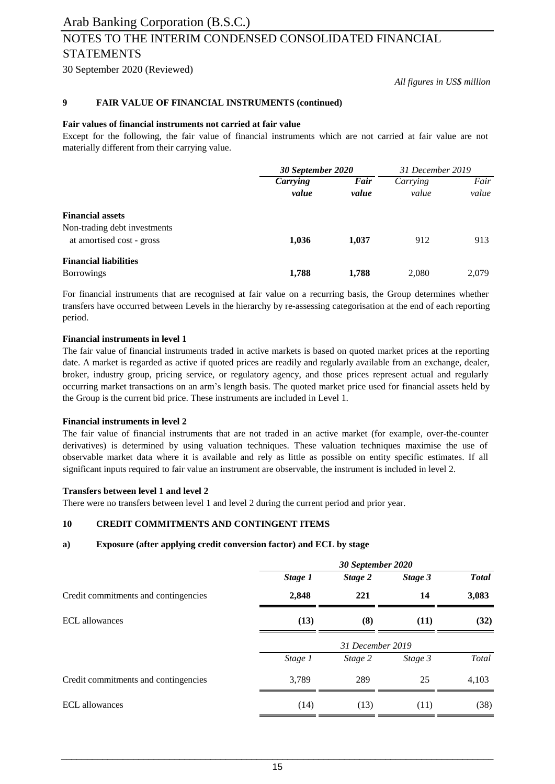# Arab Banking Corporation (B.S.C.) NOTES TO THE INTERIM CONDENSED CONSOLIDATED FINANCIAL STATEMENTS

30 September 2020 (Reviewed)

*All figures in US\$ million*

#### **9 FAIR VALUE OF FINANCIAL INSTRUMENTS (continued)**

#### **Fair values of financial instruments not carried at fair value**

Except for the following, the fair value of financial instruments which are not carried at fair value are not materially different from their carrying value.

|                                                           | 30 September 2020               |               | 31 December 2019  |               |
|-----------------------------------------------------------|---------------------------------|---------------|-------------------|---------------|
|                                                           | <b><i>Carrying</i></b><br>value | Fair<br>value | Carrying<br>value | Fair<br>value |
| <b>Financial assets</b>                                   |                                 |               |                   |               |
| Non-trading debt investments<br>at amortised cost - gross | 1,036                           | 1,037         | 912               | 913           |
| <b>Financial liabilities</b><br><b>Borrowings</b>         | 1,788                           | 1,788         | 2,080             | 2.079         |

For financial instruments that are recognised at fair value on a recurring basis, the Group determines whether transfers have occurred between Levels in the hierarchy by re-assessing categorisation at the end of each reporting period.

#### **Financial instruments in level 1**

The fair value of financial instruments traded in active markets is based on quoted market prices at the reporting date. A market is regarded as active if quoted prices are readily and regularly available from an exchange, dealer, broker, industry group, pricing service, or regulatory agency, and those prices represent actual and regularly occurring market transactions on an arm's length basis. The quoted market price used for financial assets held by the Group is the current bid price. These instruments are included in Level 1.

#### **Financial instruments in level 2**

The fair value of financial instruments that are not traded in an active market (for example, over-the-counter derivatives) is determined by using valuation techniques. These valuation techniques maximise the use of observable market data where it is available and rely as little as possible on entity specific estimates. If all significant inputs required to fair value an instrument are observable, the instrument is included in level 2.

#### **Transfers between level 1 and level 2**

There were no transfers between level 1 and level 2 during the current period and prior year.

### **10 CREDIT COMMITMENTS AND CONTINGENT ITEMS**

#### **a) Exposure (after applying credit conversion factor) and ECL by stage**

|                                      | 30 September 2020 |                  |         |              |
|--------------------------------------|-------------------|------------------|---------|--------------|
|                                      | Stage 1           | Stage 2          | Stage 3 | <b>Total</b> |
| Credit commitments and contingencies | 2,848             | 221              | 14      | 3,083        |
| <b>ECL</b> allowances                | (13)              | (8)              | (11)    | (32)         |
|                                      |                   | 31 December 2019 |         |              |
|                                      | Stage 1           | Stage 2          | Stage 3 | Total        |
| Credit commitments and contingencies | 3,789             | 289              | 25      | 4,103        |
| ECL allowances                       | (14)              | (13)             | (11)    | (38)         |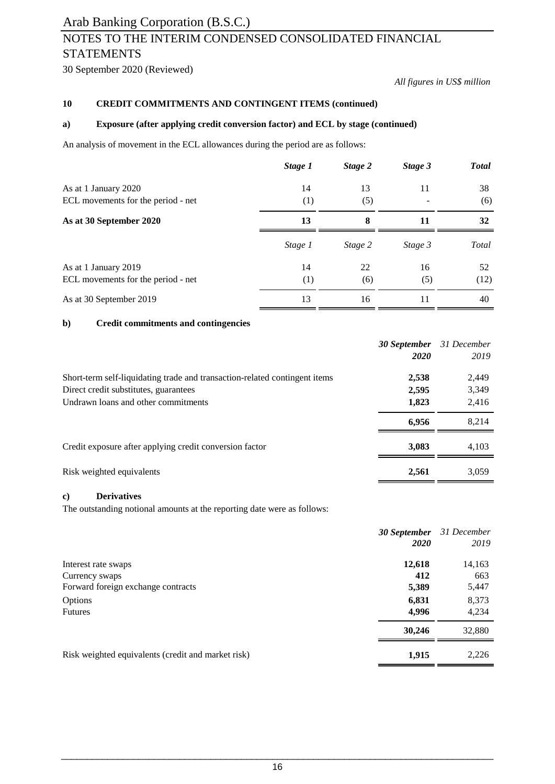# NOTES TO THE INTERIM CONDENSED CONSOLIDATED FINANCIAL **STATEMENTS**

30 September 2020 (Reviewed)

*All figures in US\$ million*

### **10 CREDIT COMMITMENTS AND CONTINGENT ITEMS (continued)**

### **a) Exposure (after applying credit conversion factor) and ECL by stage (continued)**

An analysis of movement in the ECL allowances during the period are as follows:

|                                                            | Stage 1 | Stage 2 | Stage 3 | <b>Total</b> |
|------------------------------------------------------------|---------|---------|---------|--------------|
| As at 1 January 2020<br>ECL movements for the period - net | 14      | 13      | 11      | 38<br>(6)    |
|                                                            | (1)     | (5)     |         |              |
| As at 30 September 2020                                    | 13      | 8       | 11      | 32           |
|                                                            | Stage 1 | Stage 2 | Stage 3 | Total        |
| As at 1 January 2019                                       | 14      | 22      | 16      | 52           |
| ECL movements for the period - net                         | (1)     | (6)     | (5)     | (12)         |
| As at 30 September 2019                                    | 13      | 16      | 11      | 40           |

#### **b) Credit commitments and contingencies**

|                                                                            | <b>30 September</b> 31 December |       |
|----------------------------------------------------------------------------|---------------------------------|-------|
|                                                                            | 2020                            | 2019  |
| Short-term self-liquidating trade and transaction-related contingent items | 2,538                           | 2,449 |
| Direct credit substitutes, guarantees                                      | 2,595                           | 3,349 |
| Undrawn loans and other commitments                                        | 1,823                           | 2,416 |
|                                                                            | 6.956                           | 8,214 |
| Credit exposure after applying credit conversion factor                    | 3,083                           | 4,103 |
| Risk weighted equivalents                                                  | 2,561                           | 3,059 |

#### **c) Derivatives**

The outstanding notional amounts at the reporting date were as follows:

|                                                    | 30 September<br>2020 | 31 December<br>2019 |
|----------------------------------------------------|----------------------|---------------------|
| Interest rate swaps                                | 12,618               | 14,163              |
| Currency swaps                                     | 412                  | 663                 |
| Forward foreign exchange contracts                 | 5,389                | 5,447               |
| <b>Options</b>                                     | 6,831                | 8,373               |
| <b>Futures</b>                                     | 4,996                | 4,234               |
|                                                    | 30,246               | 32,880              |
| Risk weighted equivalents (credit and market risk) | 1,915                | 2,226               |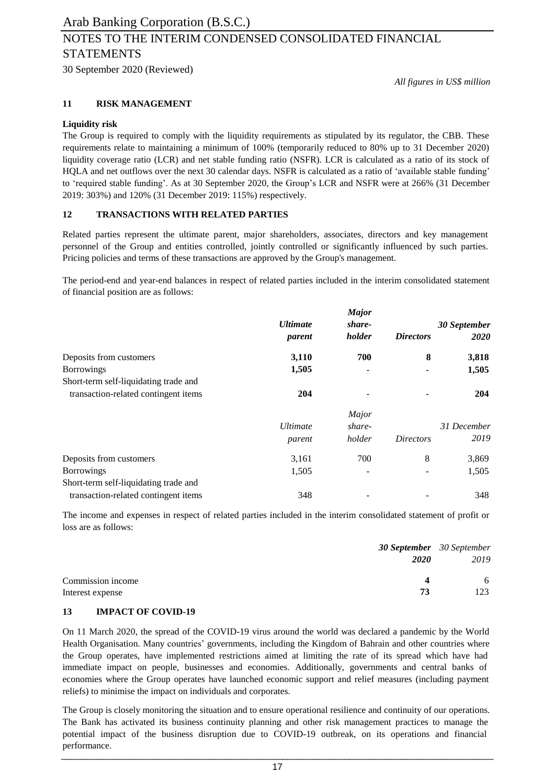30 September 2020 (Reviewed)

*All figures in US\$ million*

### **11 RISK MANAGEMENT**

#### **Liquidity risk**

The Group is required to comply with the liquidity requirements as stipulated by its regulator, the CBB. These requirements relate to maintaining a minimum of 100% (temporarily reduced to 80% up to 31 December 2020) liquidity coverage ratio (LCR) and net stable funding ratio (NSFR). LCR is calculated as a ratio of its stock of HQLA and net outflows over the next 30 calendar days. NSFR is calculated as a ratio of 'available stable funding' to 'required stable funding'. As at 30 September 2020, the Group's LCR and NSFR were at 266% (31 December 2019: 303%) and 120% (31 December 2019: 115%) respectively.

#### **12 TRANSACTIONS WITH RELATED PARTIES**

Related parties represent the ultimate parent, major shareholders, associates, directors and key management personnel of the Group and entities controlled, jointly controlled or significantly influenced by such parties. Pricing policies and terms of these transactions are approved by the Group's management.

The period-end and year-end balances in respect of related parties included in the interim consolidated statement of financial position are as follows:

|                                       |                 | <b>Major</b> |                  |              |
|---------------------------------------|-----------------|--------------|------------------|--------------|
|                                       | <b>Ultimate</b> | share-       |                  | 30 September |
|                                       | parent          | holder       | <b>Directors</b> | 2020         |
| Deposits from customers               | 3,110           | 700          | 8                | 3,818        |
| <b>Borrowings</b>                     | 1,505           |              |                  | 1,505        |
| Short-term self-liquidating trade and |                 |              |                  |              |
| transaction-related contingent items  | 204             |              |                  | 204          |
|                                       |                 | Major        |                  |              |
|                                       | <b>Ultimate</b> | share-       |                  | 31 December  |
|                                       | parent          | holder       | <i>Directors</i> | 2019         |
| Deposits from customers               | 3,161           | 700          | 8                | 3,869        |
| <b>Borrowings</b>                     | 1,505           |              |                  | 1,505        |
| Short-term self-liquidating trade and |                 |              |                  |              |
| transaction-related contingent items  | 348             |              |                  | 348          |

The income and expenses in respect of related parties included in the interim consolidated statement of profit or loss are as follows:

|                   |             | <b>30 September</b> 30 September |
|-------------------|-------------|----------------------------------|
|                   | <i>2020</i> | 2019                             |
| Commission income | Δ           | 6                                |
| Interest expense  | 73          | 123.                             |

### **13 IMPACT OF COVID-19**

On 11 March 2020, the spread of the COVID-19 virus around the world was declared a pandemic by the World Health Organisation. Many countries' governments, including the Kingdom of Bahrain and other countries where the Group operates, have implemented restrictions aimed at limiting the rate of its spread which have had immediate impact on people, businesses and economies. Additionally, governments and central banks of economies where the Group operates have launched economic support and relief measures (including payment reliefs) to minimise the impact on individuals and corporates.

The Group is closely monitoring the situation and to ensure operational resilience and continuity of our operations. The Bank has activated its business continuity planning and other risk management practices to manage the potential impact of the business disruption due to COVID-19 outbreak, on its operations and financial performance. \_\_\_\_\_\_\_\_\_\_\_\_\_\_\_\_\_\_\_\_\_\_\_\_\_\_\_\_\_\_\_\_\_\_\_\_\_\_\_\_\_\_\_\_\_\_\_\_\_\_\_\_\_\_\_\_\_\_\_\_\_\_\_\_\_\_\_\_\_\_\_\_\_\_\_\_\_\_\_\_\_\_\_\_